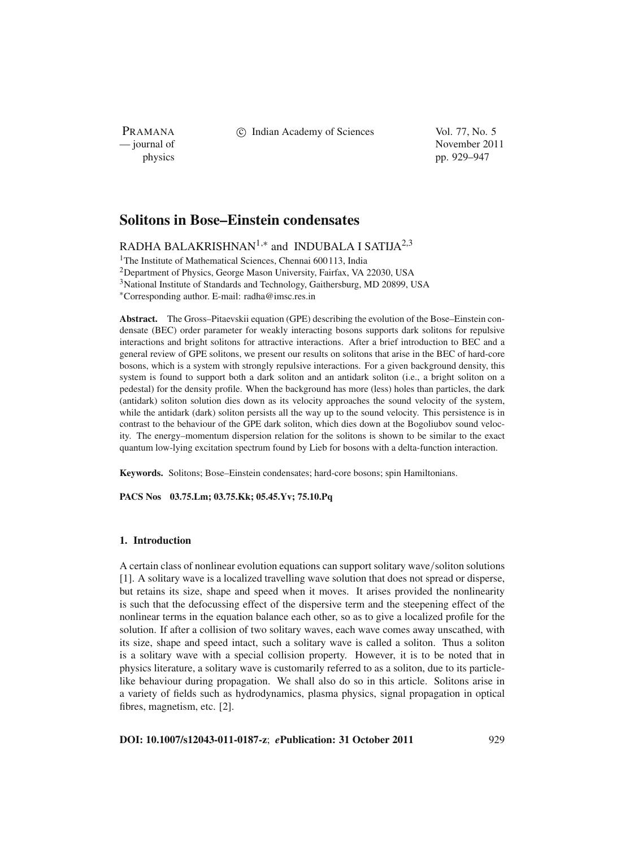PRAMANA

c Indian Academy of Sciences Vol. 77, No. 5

— journal of November 2011 physics pp. 929–947

# **Solitons in Bose–Einstein condensates**

RADHA BALAKRISHNAN<sup>1,\*</sup> and INDUBALA I SATIJA<sup>2,3</sup>

<sup>1</sup>The Institute of Mathematical Sciences, Chennai 600113, India

2Department of Physics, George Mason University, Fairfax, VA 22030, USA

<sup>3</sup>National Institute of Standards and Technology, Gaithersburg, MD 20899, USA

<sup>∗</sup>Corresponding author. E-mail: radha@imsc.res.in

**Abstract.** The Gross–Pitaevskii equation (GPE) describing the evolution of the Bose–Einstein condensate (BEC) order parameter for weakly interacting bosons supports dark solitons for repulsive interactions and bright solitons for attractive interactions. After a brief introduction to BEC and a general review of GPE solitons, we present our results on solitons that arise in the BEC of hard-core bosons, which is a system with strongly repulsive interactions. For a given background density, this system is found to support both a dark soliton and an antidark soliton (i.e., a bright soliton on a pedestal) for the density profile. When the background has more (less) holes than particles, the dark (antidark) soliton solution dies down as its velocity approaches the sound velocity of the system, while the antidark (dark) soliton persists all the way up to the sound velocity. This persistence is in contrast to the behaviour of the GPE dark soliton, which dies down at the Bogoliubov sound velocity. The energy–momentum dispersion relation for the solitons is shown to be similar to the exact quantum low-lying excitation spectrum found by Lieb for bosons with a delta-function interaction.

**Keywords.** Solitons; Bose–Einstein condensates; hard-core bosons; spin Hamiltonians.

**PACS Nos 03.75.Lm; 03.75.Kk; 05.45.Yv; 75.10.Pq**

# **1. Introduction**

A certain class of nonlinear evolution equations can support solitary wave/soliton solutions [1]. A solitary wave is a localized travelling wave solution that does not spread or disperse, but retains its size, shape and speed when it moves. It arises provided the nonlinearity is such that the defocussing effect of the dispersive term and the steepening effect of the nonlinear terms in the equation balance each other, so as to give a localized profile for the solution. If after a collision of two solitary waves, each wave comes away unscathed, with its size, shape and speed intact, such a solitary wave is called a soliton. Thus a soliton is a solitary wave with a special collision property. However, it is to be noted that in physics literature, a solitary wave is customarily referred to as a soliton, due to its particlelike behaviour during propagation. We shall also do so in this article. Solitons arise in a variety of fields such as hydrodynamics, plasma physics, signal propagation in optical fibres, magnetism, etc. [2].

**DOI: 10.1007/s12043-011-0187-z**; *e***Publication: 31 October 2011** 929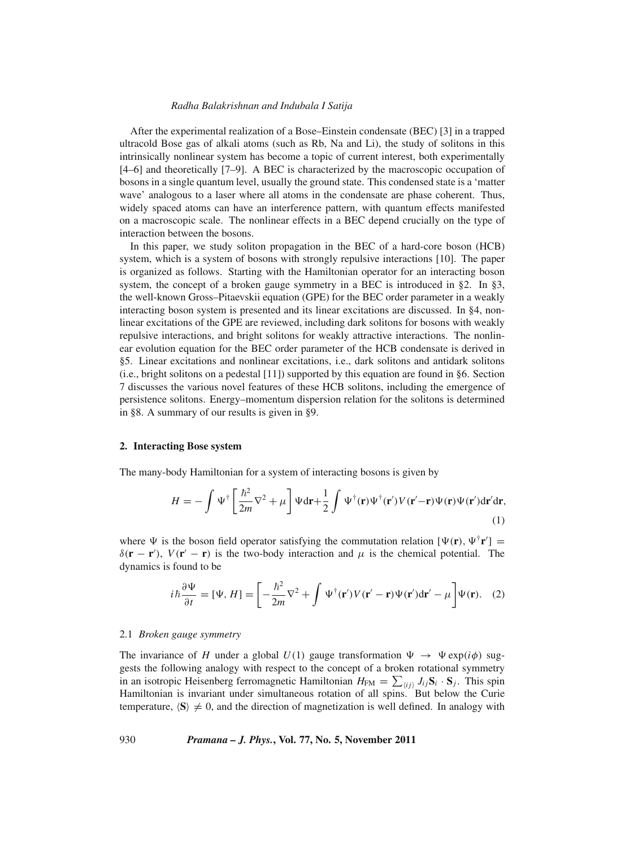After the experimental realization of a Bose–Einstein condensate (BEC) [3] in a trapped ultracold Bose gas of alkali atoms (such as Rb, Na and Li), the study of solitons in this intrinsically nonlinear system has become a topic of current interest, both experimentally [4–6] and theoretically [7–9]. A BEC is characterized by the macroscopic occupation of bosons in a single quantum level, usually the ground state. This condensed state is a 'matter wave' analogous to a laser where all atoms in the condensate are phase coherent. Thus, widely spaced atoms can have an interference pattern, with quantum effects manifested on a macroscopic scale. The nonlinear effects in a BEC depend crucially on the type of interaction between the bosons.

In this paper, we study soliton propagation in the BEC of a hard-core boson (HCB) system, which is a system of bosons with strongly repulsive interactions [10]. The paper is organized as follows. Starting with the Hamiltonian operator for an interacting boson system, the concept of a broken gauge symmetry in a BEC is introduced in §2. In §3, the well-known Gross–Pitaevskii equation (GPE) for the BEC order parameter in a weakly interacting boson system is presented and its linear excitations are discussed. In §4, nonlinear excitations of the GPE are reviewed, including dark solitons for bosons with weakly repulsive interactions, and bright solitons for weakly attractive interactions. The nonlinear evolution equation for the BEC order parameter of the HCB condensate is derived in §5. Linear excitations and nonlinear excitations, i.e., dark solitons and antidark solitons (i.e., bright solitons on a pedestal [11]) supported by this equation are found in §6. Section 7 discusses the various novel features of these HCB solitons, including the emergence of persistence solitons. Energy–momentum dispersion relation for the solitons is determined in §8. A summary of our results is given in §9.

### **2. Interacting Bose system**

The many-body Hamiltonian for a system of interacting bosons is given by

$$
H = -\int \Psi^{\dagger} \left[ \frac{\hbar^2}{2m} \nabla^2 + \mu \right] \Psi \mathrm{d}\mathbf{r} + \frac{1}{2} \int \Psi^{\dagger}(\mathbf{r}) \Psi^{\dagger}(\mathbf{r}') V(\mathbf{r}' - \mathbf{r}) \Psi(\mathbf{r}) \Psi(\mathbf{r}') \mathrm{d}\mathbf{r}' \mathrm{d}\mathbf{r},\tag{1}
$$

where  $\Psi$  is the boson field operator satisfying the commutation relation  $[\Psi(\mathbf{r}), \Psi^{\dagger} \mathbf{r}']$  =  $\delta(\mathbf{r} - \mathbf{r}')$ ,  $V(\mathbf{r}' - \mathbf{r})$  is the two-body interaction and  $\mu$  is the chemical potential. The dynamics is found to be

$$
i\hbar \frac{\partial \Psi}{\partial t} = [\Psi, H] = \left[ -\frac{\hbar^2}{2m} \nabla^2 + \int \Psi^{\dagger}(\mathbf{r}') V(\mathbf{r}' - \mathbf{r}) \Psi(\mathbf{r}') d\mathbf{r}' - \mu \right] \Psi(\mathbf{r}). \quad (2)
$$

#### 2.1 *Broken gauge symmetry*

The invariance of *H* under a global  $U(1)$  gauge transformation  $\Psi \to \Psi \exp(i\phi)$  suggests the following analogy with respect to the concept of a broken rotational symmetry in an isotropic Heisenberg ferromagnetic Hamiltonian  $H_{FM} = \sum_{\langle ij \rangle} J_{ij} S_i \cdot S_j$ . This spin Hamiltonian is invariant under simultaneous rotation of all spins. But below the Curie temperature,  $\langle S \rangle \neq 0$ , and the direction of magnetization is well defined. In analogy with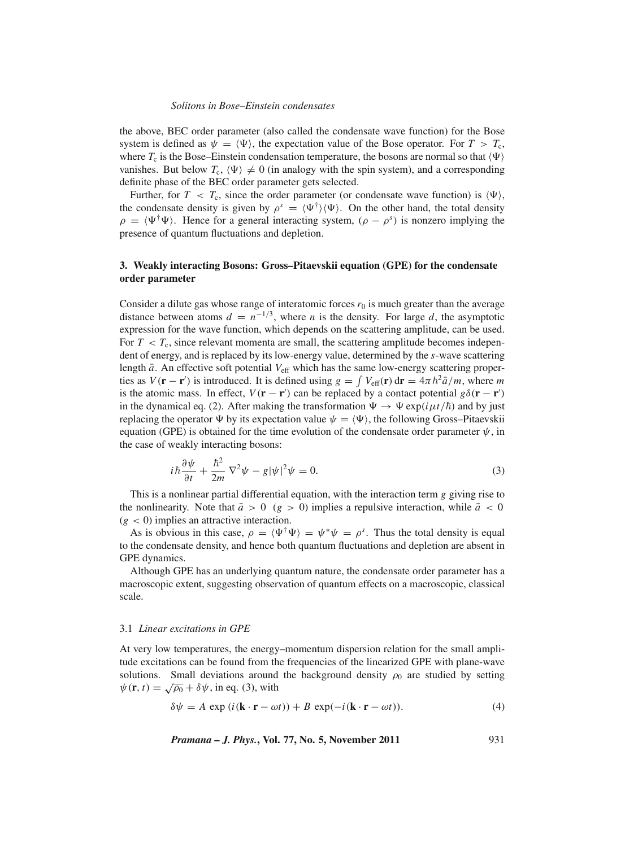the above, BEC order parameter (also called the condensate wave function) for the Bose system is defined as  $\psi = \langle \Psi \rangle$ , the expectation value of the Bose operator. For  $T > T_c$ , where  $T_c$  is the Bose–Einstein condensation temperature, the bosons are normal so that  $\langle \Psi \rangle$ vanishes. But below  $T_c$ ,  $\langle \Psi \rangle \neq 0$  (in analogy with the spin system), and a corresponding definite phase of the BEC order parameter gets selected.

Further, for  $T < T_c$ , since the order parameter (or condensate wave function) is  $\langle \Psi \rangle$ , the condensate density is given by  $\rho^s = \langle \Psi^{\dagger} \rangle \langle \Psi \rangle$ . On the other hand, the total density  $\rho = \langle \Psi^{\dagger} \Psi \rangle$ . Hence for a general interacting system,  $(\rho - \rho^s)$  is nonzero implying the presence of quantum fluctuations and depletion.

# **3. Weakly interacting Bosons: Gross–Pitaevskii equation (GPE) for the condensate order parameter**

Consider a dilute gas whose range of interatomic forces  $r_0$  is much greater than the average distance between atoms  $d = n^{-1/3}$ , where *n* is the density. For large *d*, the asymptotic expression for the wave function, which depends on the scattering amplitude, can be used. For  $T < T_c$ , since relevant momenta are small, the scattering amplitude becomes independent of energy, and is replaced by its low-energy value, determined by the *s*-wave scattering length  $\bar{a}$ . An effective soft potential  $V_{\text{eff}}$  which has the same low-energy scattering properties as  $V(\mathbf{r} - \mathbf{r}')$  is introduced. It is defined using  $g = \int V_{\text{eff}}(\mathbf{r}) d\mathbf{r} = 4\pi \hbar^2 \bar{a}/m$ , where *m* is the atomic mass. In effect,  $V(\mathbf{r} - \mathbf{r}')$  can be replaced by a contact potential  $g\delta(\mathbf{r} - \mathbf{r}')$ in the dynamical eq. (2). After making the transformation  $\Psi \to \Psi \exp(i\mu t/\hbar)$  and by just replacing the operator  $\Psi$  by its expectation value  $\psi = \langle \Psi \rangle$ , the following Gross–Pitaevskii equation (GPE) is obtained for the time evolution of the condensate order parameter  $\psi$ , in the case of weakly interacting bosons:

$$
i\hbar\frac{\partial\psi}{\partial t} + \frac{\hbar^2}{2m}\nabla^2\psi - g|\psi|^2\psi = 0.
$$
 (3)

This is a nonlinear partial differential equation, with the interaction term *g* giving rise to the nonlinearity. Note that  $\bar{a} > 0$  (*g* > 0) implies a repulsive interaction, while  $\bar{a} < 0$  $(g < 0)$  implies an attractive interaction.

As is obvious in this case,  $\rho = \langle \Psi^{\dagger} \Psi \rangle = \psi^* \psi = \rho^s$ . Thus the total density is equal to the condensate density, and hence both quantum fluctuations and depletion are absent in GPE dynamics.

Although GPE has an underlying quantum nature, the condensate order parameter has a macroscopic extent, suggesting observation of quantum effects on a macroscopic, classical scale.

#### 3.1 *Linear excitations in GPE*

At very low temperatures, the energy–momentum dispersion relation for the small amplitude excitations can be found from the frequencies of the linearized GPE with plane-wave solutions. Small deviations around the background density  $\rho_0$  are studied by setting  $\psi(\mathbf{r}, t) = \sqrt{\rho_0} + \delta \psi$ , in eq. (3), with

$$
\delta \psi = A \exp(i(\mathbf{k} \cdot \mathbf{r} - \omega t)) + B \exp(-i(\mathbf{k} \cdot \mathbf{r} - \omega t)).
$$
 (4)

*Pramana – J. Phys.***, Vol. 77, No. 5, November 2011** 931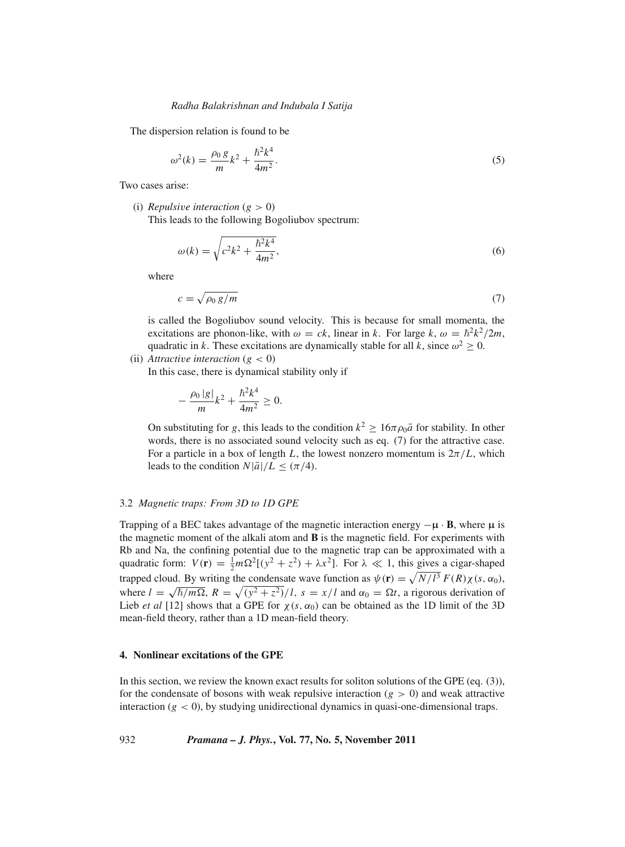The dispersion relation is found to be

$$
\omega^2(k) = \frac{\rho_0 g}{m} k^2 + \frac{\hbar^2 k^4}{4m^2}.
$$
\n(5)

Two cases arise:

(i) *Repulsive interaction*  $(g > 0)$ 

This leads to the following Bogoliubov spectrum:

$$
\omega(k) = \sqrt{c^2 k^2 + \frac{\hbar^2 k^4}{4m^2}},
$$
\n(6)

where

$$
c = \sqrt{\rho_0 \, g/m} \tag{7}
$$

is called the Bogoliubov sound velocity. This is because for small momenta, the excitations are phonon-like, with  $\omega = ck$ , linear in *k*. For large *k*,  $\omega = \hbar^2 k^2 / 2m$ , quadratic in *k*. These excitations are dynamically stable for all *k*, since  $\omega^2 \geq 0$ .

# (ii) *Attractive interaction*  $(g < 0)$

In this case, there is dynamical stability only if

$$
-\frac{\rho_0|g|}{m}k^2 + \frac{\hbar^2 k^4}{4m^2} \ge 0.
$$

On substituting for *g*, this leads to the condition  $k^2 \ge 16\pi\rho_0\bar{a}$  for stability. In other words, there is no associated sound velocity such as eq. (7) for the attractive case. For a particle in a box of length L, the lowest nonzero momentum is  $2\pi/L$ , which leads to the condition  $N|\bar{a}|/L \leq (\pi/4)$ .

### 3.2 *Magnetic traps: From 3D to 1D GPE*

Trapping of a BEC takes advantage of the magnetic interaction energy  $-\mu \cdot \mathbf{B}$ , where  $\mu$  is the magnetic moment of the alkali atom and **B** is the magnetic field. For experiments with Rb and Na, the confining potential due to the magnetic trap can be approximated with a quadratic form:  $V(\mathbf{r}) = \frac{1}{2}m\Omega^2[(y^2 + z^2) + \lambda x^2]$ . For  $\lambda \ll 1$ , this gives a cigar-shaped trapped cloud. By writing the condensate wave function as  $\psi(\mathbf{r}) = \sqrt{N/l^3} F(R)\chi(s, \alpha_0)$ , where  $l = \sqrt{\hbar/m\Omega}$ ,  $R = \sqrt{(y^2 + z^2)}/l$ ,  $s = x/l$  and  $\alpha_0 = \Omega t$ , a rigorous derivation of Lieb *et al* [12] shows that a GPE for  $\chi(s, \alpha_0)$  can be obtained as the 1D limit of the 3D mean-field theory, rather than a 1D mean-field theory.

### **4. Nonlinear excitations of the GPE**

In this section, we review the known exact results for soliton solutions of the GPE (eq. (3)), for the condensate of bosons with weak repulsive interaction  $(g > 0)$  and weak attractive interaction  $(g < 0)$ , by studying unidirectional dynamics in quasi-one-dimensional traps.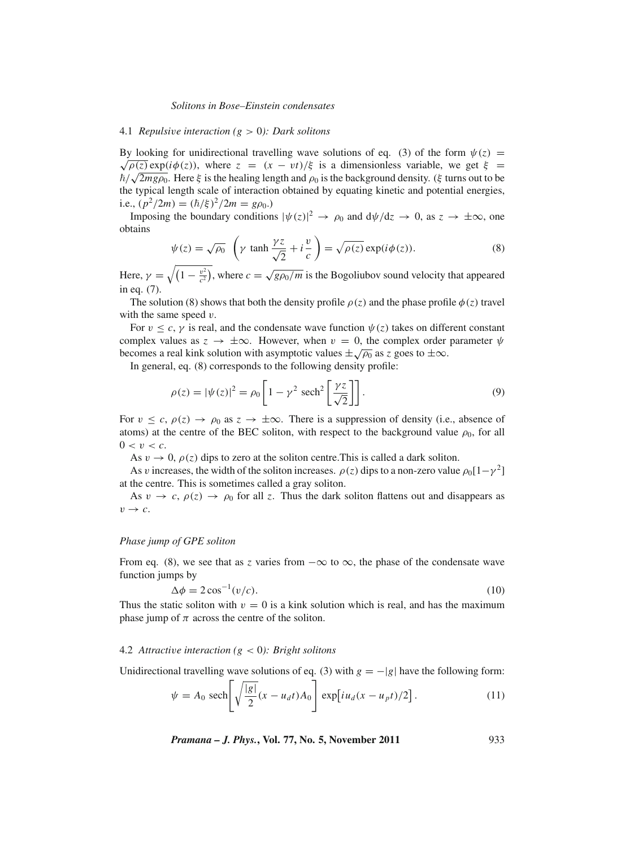## 4.1 *Repulsi*v*e interaction (g* > 0*): Dark solitons*

By looking for unidirectional travelling wave solutions of eq. (3) of the form  $\psi(z) = \sqrt{\rho(z)} \exp(i\phi(z))$ , where  $z = (x - vt)/\xi$  is a dimensionless variable, we get  $\xi =$  $\sqrt{\rho(z)} \exp(i \varphi(z))$ , where  $z = (x - vt)/\xi$  is a dimensionless variable, we get  $\xi = \hbar/\sqrt{2mg\rho_0}$ . Here  $\xi$  is the healing length and  $\rho_0$  is the background density. ( $\xi$  turns out to be the typical length scale of interaction obtained by equating kinetic and potential energies, i.e.,  $(p^2/2m) = (\hbar/\xi)^2/2m = g\rho_0$ .)

Imposing the boundary conditions  $|\psi(z)|^2 \to \rho_0$  and  $d\psi/dz \to 0$ , as  $z \to \pm \infty$ , one obtains

$$
\psi(z) = \sqrt{\rho_0} \left( \gamma \tanh \frac{\gamma z}{\sqrt{2}} + i \frac{v}{c} \right) = \sqrt{\rho(z)} \exp(i\phi(z)).
$$
\n(8)

Here,  $\gamma = \sqrt{\left(1 - \frac{v^2}{c^2}\right)}$ , where  $c = \sqrt{\frac{g\rho_0}{m}}$  is the Bogoliubov sound velocity that appeared in eq. (7).

The solution (8) shows that both the density profile  $\rho(z)$  and the phase profile  $\phi(z)$  travel with the same speed  $v$ .

For  $v \leq c$ ,  $\gamma$  is real, and the condensate wave function  $\psi(z)$  takes on different constant complex values as  $z \to \pm \infty$ . However, when  $v = 0$ , the complex order parameter  $\psi$ becomes a real kink solution with asymptotic values  $\pm \sqrt{\rho_0}$  as *z* goes to  $\pm \infty$ .

In general, eq. (8) corresponds to the following density profile:

$$
\rho(z) = |\psi(z)|^2 = \rho_0 \left[ 1 - \gamma^2 \ \text{sech}^2 \left[ \frac{\gamma z}{\sqrt{2}} \right] \right]. \tag{9}
$$

For  $v \leq c$ ,  $\rho(z) \to \rho_0$  as  $z \to \pm \infty$ . There is a suppression of density (i.e., absence of atoms) at the centre of the BEC soliton, with respect to the background value  $\rho_0$ , for all  $0 < v < c$ .

As  $v \to 0$ ,  $\rho(z)$  dips to zero at the soliton centre. This is called a dark soliton.

As v increases, the width of the soliton increases.  $\rho(z)$  dips to a non-zero value  $\rho_0[1-\gamma^2]$ at the centre. This is sometimes called a gray soliton.

As  $v \to c$ ,  $\rho(z) \to \rho_0$  for all *z*. Thus the dark soliton flattens out and disappears as  $v \rightarrow c$ .

#### *Phase jump of GPE soliton*

From eq. (8), we see that as *z* varies from  $-\infty$  to  $\infty$ , the phase of the condensate wave function jumps by

$$
\Delta \phi = 2\cos^{-1}(v/c). \tag{10}
$$

Thus the static soliton with  $v = 0$  is a kink solution which is real, and has the maximum phase jump of  $\pi$  across the centre of the soliton.

#### 4.2 *Attracti*v*e interaction (g* < 0*): Bright solitons*

Unidirectional travelling wave solutions of eq. (3) with  $g = -|g|$  have the following form:

$$
\psi = A_0 \operatorname{sech}\left[\sqrt{\frac{|g|}{2}}(x - u_d t) A_0\right] \exp\left[i u_d (x - u_p t)/2\right].\tag{11}
$$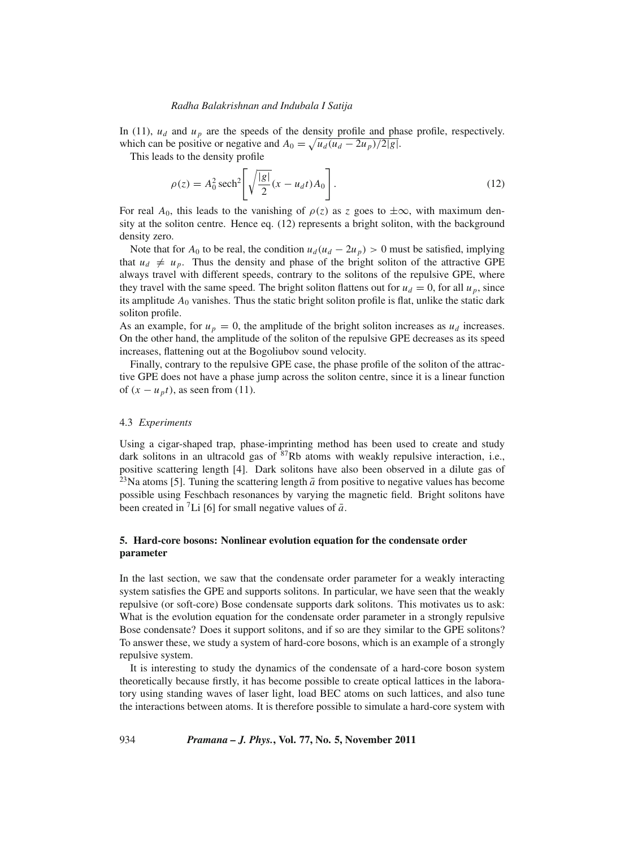In (11),  $u_d$  and  $u_p$  are the speeds of the density profile and phase profile, respectively. which can be positive or negative and  $A_0 = \sqrt{u_d (u_d - 2u_p)/2|g|}$ .

This leads to the density profile

$$
\rho(z) = A_0^2 \operatorname{sech}^2 \left[ \sqrt{\frac{|g|}{2}} (x - u_d t) A_0 \right].
$$
\n(12)

For real  $A_0$ , this leads to the vanishing of  $\rho(z)$  as z goes to  $\pm\infty$ , with maximum density at the soliton centre. Hence eq. (12) represents a bright soliton, with the background density zero.

Note that for  $A_0$  to be real, the condition  $u_d(u_d - 2u_p) > 0$  must be satisfied, implying that  $u_d \neq u_p$ . Thus the density and phase of the bright soliton of the attractive GPE always travel with different speeds, contrary to the solitons of the repulsive GPE, where they travel with the same speed. The bright soliton flattens out for  $u_d = 0$ , for all  $u_p$ , since its amplitude  $A_0$  vanishes. Thus the static bright soliton profile is flat, unlike the static dark soliton profile.

As an example, for  $u_p = 0$ , the amplitude of the bright soliton increases as  $u_d$  increases. On the other hand, the amplitude of the soliton of the repulsive GPE decreases as its speed increases, flattening out at the Bogoliubov sound velocity.

Finally, contrary to the repulsive GPE case, the phase profile of the soliton of the attractive GPE does not have a phase jump across the soliton centre, since it is a linear function of  $(x - u_p t)$ , as seen from (11).

# 4.3 *Experiments*

Using a cigar-shaped trap, phase-imprinting method has been used to create and study dark solitons in an ultracold gas of  ${}^{87}Rb$  atoms with weakly repulsive interaction, i.e., positive scattering length [4]. Dark solitons have also been observed in a dilute gas of <sup>23</sup>Na atoms [5]. Tuning the scattering length  $\bar{a}$  from positive to negative values has become possible using Feschbach resonances by varying the magnetic field. Bright solitons have been created in <sup>7</sup>Li [6] for small negative values of  $\bar{a}$ .

# **5. Hard-core bosons: Nonlinear evolution equation for the condensate order parameter**

In the last section, we saw that the condensate order parameter for a weakly interacting system satisfies the GPE and supports solitons. In particular, we have seen that the weakly repulsive (or soft-core) Bose condensate supports dark solitons. This motivates us to ask: What is the evolution equation for the condensate order parameter in a strongly repulsive Bose condensate? Does it support solitons, and if so are they similar to the GPE solitons? To answer these, we study a system of hard-core bosons, which is an example of a strongly repulsive system.

It is interesting to study the dynamics of the condensate of a hard-core boson system theoretically because firstly, it has become possible to create optical lattices in the laboratory using standing waves of laser light, load BEC atoms on such lattices, and also tune the interactions between atoms. It is therefore possible to simulate a hard-core system with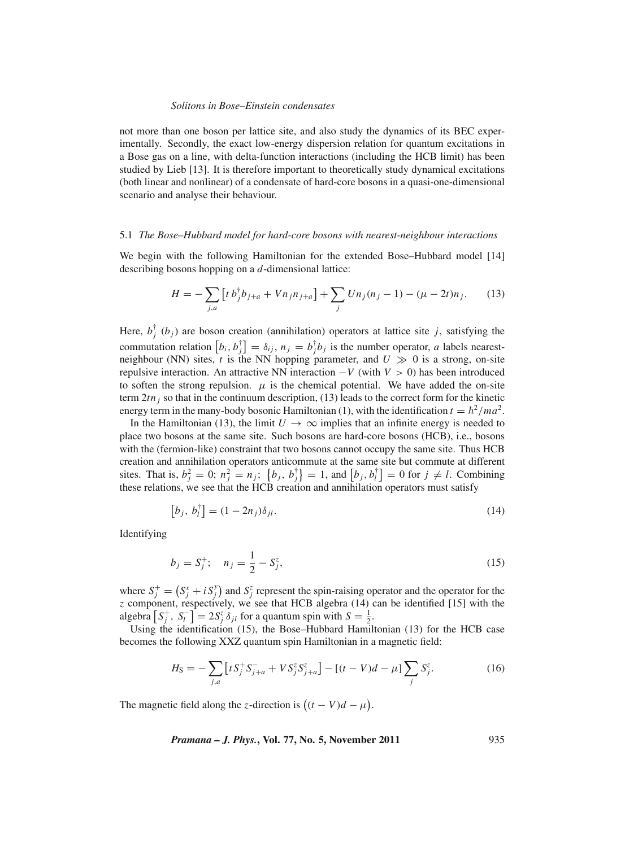not more than one boson per lattice site, and also study the dynamics of its BEC experimentally. Secondly, the exact low-energy dispersion relation for quantum excitations in a Bose gas on a line, with delta-function interactions (including the HCB limit) has been studied by Lieb [13]. It is therefore important to theoretically study dynamical excitations (both linear and nonlinear) of a condensate of hard-core bosons in a quasi-one-dimensional scenario and analyse their behaviour.

### 5.1 *The Bose–Hubbard model for hard-core bosons with nearest-neighbour interactions*

We begin with the following Hamiltonian for the extended Bose–Hubbard model [14] describing bosons hopping on a *d*-dimensional lattice:

$$
H = -\sum_{j,a} \left[ t b_j^{\dagger} b_{j+a} + V n_j n_{j+a} \right] + \sum_j U n_j (n_j - 1) - (\mu - 2t) n_j. \tag{13}
$$

Here,  $b_j^{\dagger}$  ( $b_j$ ) are boson creation (annihilation) operators at lattice site *j*, satisfying the commutation relation  $[b_i, b_j] = \delta_{ij}, n_j = b_j^{\dagger}b_j$  is the number operator, *a* labels nearestneighbour (NN) sites,  $t$  is the NN hopping parameter, and  $U \gg 0$  is a strong, on-site repulsive interaction. An attractive NN interaction  $-V$  (with  $V > 0$ ) has been introduced to soften the strong repulsion.  $\mu$  is the chemical potential. We have added the on-site term  $2tn_i$  so that in the continuum description, (13) leads to the correct form for the kinetic energy term in the many-body bosonic Hamiltonian (1), with the identification  $t = \hbar^2 / ma^2$ .

In the Hamiltonian (13), the limit  $U \rightarrow \infty$  implies that an infinite energy is needed to place two bosons at the same site. Such bosons are hard-core bosons (HCB), i.e., bosons with the (fermion-like) constraint that two bosons cannot occupy the same site. Thus HCB creation and annihilation operators anticommute at the same site but commute at different sites. That is,  $b_j^2 = 0$ ;  $n_j^2 = n_j$ ;  $\{b_j, b_j^{\dagger}\} = 1$ , and  $[b_j, b_l^{\dagger}] = 0$  for  $j \neq l$ . Combining these relations, we see that the HCB creation and annihilation operators must satisfy

$$
\left[b_j, b_l^{\dagger}\right] = (1 - 2n_j)\delta_{jl}.\tag{14}
$$

Identifying

$$
b_j = S_j^+; \quad n_j = \frac{1}{2} - S_j^z,\tag{15}
$$

where  $S_j^+ = (S_j^x + i S_j^y)$  and  $S_j^z$  represent the spin-raising operator and the operator for the *z* component, respectively, we see that HCB algebra (14) can be identified [15] with the algebra  $[S_j^+, S_l^-] = 2S_j^z \delta_{jl}$  for a quantum spin with  $S = \frac{1}{2}$ .

Using the identification (15), the Bose–Hubbard Hamiltonian (13) for the HCB case becomes the following XXZ quantum spin Hamiltonian in a magnetic field:

$$
H_{\rm S} = -\sum_{j,a} \left[ t S_j^+ S_{j+a}^- + V S_j^z S_{j+a}^z \right] - \left[ (t-V)d - \mu \right] \sum_j S_j^z. \tag{16}
$$

The magnetic field along the *z*-direction is  $((t - V)d - \mu)$ .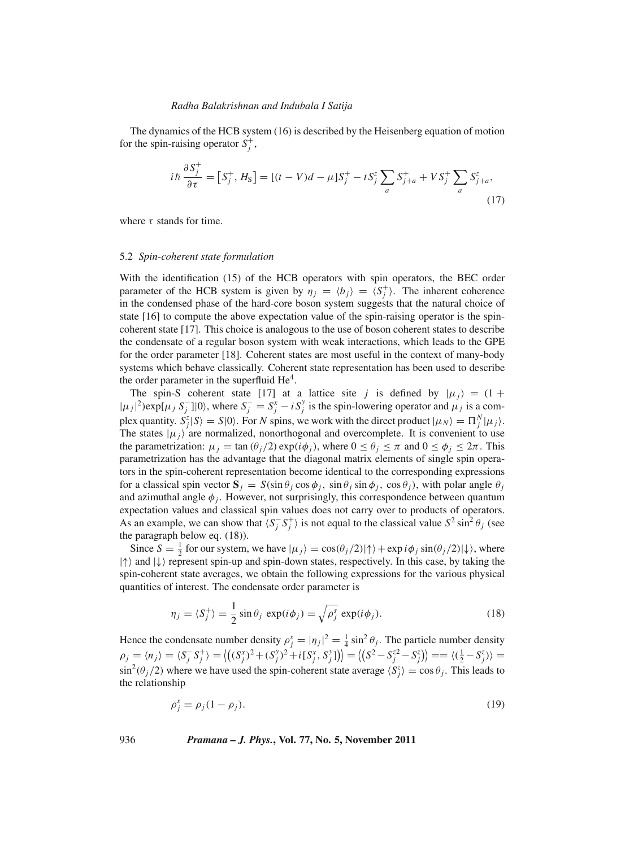The dynamics of the HCB system (16) is described by the Heisenberg equation of motion for the spin-raising operator  $S_j^+$ ,

$$
i\hbar \frac{\partial S_j^+}{\partial \tau} = [S_j^+, H_S] = [(t - V)d - \mu]S_j^+ - tS_j^z \sum_a S_{j+a}^+ + VS_j^+ \sum_a S_{j+a}^z,\tag{17}
$$

where  $\tau$  stands for time.

#### 5.2 *Spin-coherent state formulation*

With the identification (15) of the HCB operators with spin operators, the BEC order parameter of the HCB system is given by  $\eta_j = \langle b_j \rangle = \langle S_j^+ \rangle$ . The inherent coherence in the condensed phase of the hard-core boson system suggests that the natural choice of state [16] to compute the above expectation value of the spin-raising operator is the spincoherent state [17]. This choice is analogous to the use of boson coherent states to describe the condensate of a regular boson system with weak interactions, which leads to the GPE for the order parameter [18]. Coherent states are most useful in the context of many-body systems which behave classically. Coherent state representation has been used to describe the order parameter in the superfluid  $He<sup>4</sup>$ .

The spin-S coherent state [17] at a lattice site *j* is defined by  $|\mu_j\rangle = (1 +$  $|\mu_j|^2$ )exp[ $\mu_j S_j^-$ ]|0), where  $S_j^- = S_j^x - iS_j^y$  is the spin-lowering operator and  $\mu_j$  is a complex quantity.  $S_j^z | S \rangle = S | 0 \rangle$ . For *N* spins, we work with the direct product  $|\mu_N \rangle = \prod_j^N |\mu_j \rangle$ . The states  $|\mu_j\rangle$  are normalized, nonorthogonal and overcomplete. It is convenient to use the parametrization:  $\mu_j = \tan(\theta_j/2) \exp(i\phi_j)$ , where  $0 \le \theta_j \le \pi$  and  $0 \le \phi_j \le 2\pi$ . This parametrization has the advantage that the diagonal matrix elements of single spin operators in the spin-coherent representation become identical to the corresponding expressions for a classical spin vector  $\mathbf{S}_i = S(\sin \theta_i \cos \phi_i, \sin \theta_i \sin \phi_i, \cos \theta_i)$ , with polar angle  $\theta_i$ and azimuthal angle  $\phi_j$ . However, not surprisingly, this correspondence between quantum expectation values and classical spin values does not carry over to products of operators. As an example, we can show that  $\langle S_j^- S_j^+ \rangle$  is not equal to the classical value  $S^2 \sin^2 \theta_j$  (see the paragraph below eq. (18)).

Since  $S = \frac{1}{2}$  for our system, we have  $|\mu_j\rangle = \cos(\theta_j/2)|\uparrow\rangle + \exp(i\phi_j \sin(\theta_j/2)|\downarrow\rangle$ , where  $|\uparrow\rangle$  and  $|\downarrow\rangle$  represent spin-up and spin-down states, respectively. In this case, by taking the spin-coherent state averages, we obtain the following expressions for the various physical quantities of interest. The condensate order parameter is

$$
\eta_j = \langle S_j^+ \rangle = \frac{1}{2} \sin \theta_j \exp(i\phi_j) = \sqrt{\rho_j^s} \exp(i\phi_j). \tag{18}
$$

Hence the condensate number density  $\rho_j^s = |\eta_j|^2 = \frac{1}{4} \sin^2 \theta_j$ . The particle number density  $\rho_j = \langle n_j \rangle = \langle S_j^- S_j^+ \rangle = \langle ((S_j^x)^2 + (S_j^y)^2 + i[S_j^x, S_j^y]) \rangle = \langle (S^2 - S_j^{z^2} - S_j^z) \rangle = \langle (\frac{1}{2} - S_j^z) \rangle =$  $\sin^2(\theta_j/2)$  where we have used the spin-coherent state average  $\langle S_j^z \rangle = \cos \theta_j$ . This leads to the relationship

$$
\rho_j^s = \rho_j (1 - \rho_j). \tag{19}
$$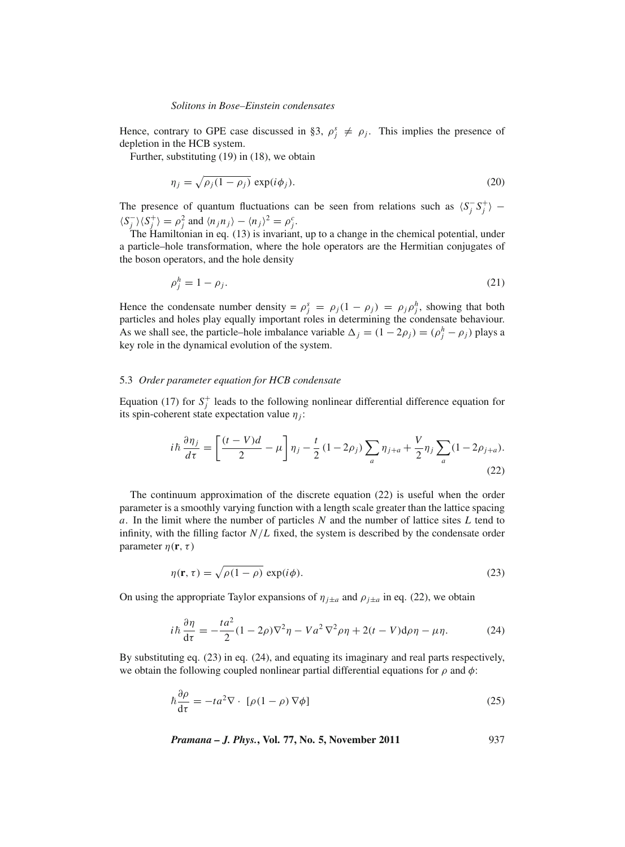Hence, contrary to GPE case discussed in §3,  $\rho_j^s \neq \rho_j$ . This implies the presence of depletion in the HCB system.

Further, substituting (19) in (18), we obtain

$$
\eta_j = \sqrt{\rho_j (1 - \rho_j)} \exp(i\phi_j). \tag{20}
$$

The presence of quantum fluctuations can be seen from relations such as  $\langle S_j^-, S_j^+ \rangle$  –  $\langle S_j^-\rangle \langle S_j^+\rangle = \rho_j^2$  and  $\langle n_j n_j \rangle - \langle n_j \rangle^2 = \rho_j^c$ .

The Hamiltonian in eq. (13) is invariant, up to a change in the chemical potential, under a particle–hole transformation, where the hole operators are the Hermitian conjugates of the boson operators, and the hole density

$$
\rho_j^h = 1 - \rho_j. \tag{21}
$$

Hence the condensate number density =  $\rho_j^s = \rho_j(1 - \rho_j) = \rho_j \rho_j^h$ , showing that both particles and holes play equally important roles in determining the condensate behaviour. As we shall see, the particle–hole imbalance variable  $\Delta_j = (1 - 2\rho_j) = (\rho_j^h - \rho_j)$  plays a key role in the dynamical evolution of the system.

### 5.3 *Order parameter equation for HCB condensate*

Equation (17) for  $S_j^+$  leads to the following nonlinear differential difference equation for its spin-coherent state expectation value  $\eta_i$ :

$$
i\hbar \frac{\partial \eta_j}{\partial \tau} = \left[ \frac{(t - V)d}{2} - \mu \right] \eta_j - \frac{t}{2} (1 - 2\rho_j) \sum_a \eta_{j+a} + \frac{V}{2} \eta_j \sum_a (1 - 2\rho_{j+a}).
$$
\n(22)

The continuum approximation of the discrete equation (22) is useful when the order parameter is a smoothly varying function with a length scale greater than the lattice spacing *a*. In the limit where the number of particles *N* and the number of lattice sites *L* tend to infinity, with the filling factor  $N/L$  fixed, the system is described by the condensate order parameter  $\eta(\mathbf{r}, \tau)$ 

$$
\eta(\mathbf{r}, \tau) = \sqrt{\rho(1 - \rho)} \exp(i\phi).
$$
 (23)

On using the appropriate Taylor expansions of  $\eta_{j\pm a}$  and  $\rho_{j\pm a}$  in eq. (22), we obtain

$$
i\hbar \frac{\partial \eta}{\partial t} = -\frac{ta^2}{2}(1 - 2\rho)\nabla^2 \eta - V a^2 \nabla^2 \rho \eta + 2(t - V) d\rho \eta - \mu \eta. \tag{24}
$$

By substituting eq. (23) in eq. (24), and equating its imaginary and real parts respectively, we obtain the following coupled nonlinear partial differential equations for  $\rho$  and  $\phi$ :

$$
\hbar \frac{\partial \rho}{\partial \tau} = -ta^2 \nabla \cdot [\rho (1 - \rho) \nabla \phi]
$$
\n(25)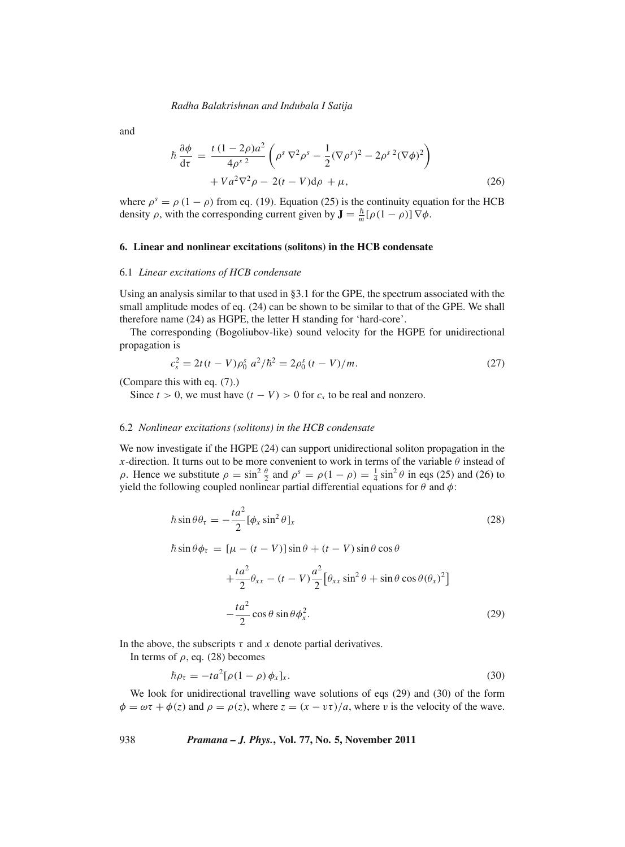and

$$
\hbar \frac{\partial \phi}{\partial \tau} = \frac{t (1 - 2\rho) a^2}{4\rho^s} \left( \rho^s \nabla^2 \rho^s - \frac{1}{2} (\nabla \rho^s)^2 - 2\rho^s {}^2 (\nabla \phi)^2 \right) + V a^2 \nabla^2 \rho - 2(t - V) d\rho + \mu,
$$
\n(26)

where  $\rho^s = \rho (1 - \rho)$  from eq. (19). Equation (25) is the continuity equation for the HCB density  $\rho$ , with the corresponding current given by  $\mathbf{J} = \frac{\hbar}{m} [\rho (1 - \rho)] \nabla \phi$ .

# **6. Linear and nonlinear excitations (solitons) in the HCB condensate**

# 6.1 *Linear excitations of HCB condensate*

Using an analysis similar to that used in §3.1 for the GPE, the spectrum associated with the small amplitude modes of eq. (24) can be shown to be similar to that of the GPE. We shall therefore name (24) as HGPE, the letter H standing for 'hard-core'.

The corresponding (Bogoliubov-like) sound velocity for the HGPE for unidirectional propagation is

$$
c_s^2 = 2t(t - V)\rho_0^s \ a^2/\hbar^2 = 2\rho_0^s (t - V)/m. \tag{27}
$$

(Compare this with eq. (7).)

Since  $t > 0$ , we must have  $(t - V) > 0$  for  $c_s$  to be real and nonzero.

#### 6.2 *Nonlinear excitations (solitons) in the HCB condensate*

We now investigate if the HGPE (24) can support unidirectional soliton propagation in the *x*-direction. It turns out to be more convenient to work in terms of the variable  $\theta$  instead of  $\rho$ . Hence we substitute  $\rho = \sin^2 \frac{\theta}{2}$  and  $\rho^s = \rho(1 - \rho) = \frac{1}{4} \sin^2 \theta$  in eqs (25) and (26) to yield the following coupled nonlinear partial differential equations for  $\theta$  and  $\phi$ :

$$
\hbar \sin \theta \theta_{\tau} = -\frac{t a^2}{2} [\phi_x \sin^2 \theta]_x \tag{28}
$$

$$
\hbar \sin \theta \phi_{\tau} = [\mu - (t - V)] \sin \theta + (t - V) \sin \theta \cos \theta
$$

$$
+\frac{ta^2}{2}\theta_{xx} - (t - V)\frac{a^2}{2} \left[\theta_{xx}\sin^2\theta + \sin\theta\cos\theta(\theta_x)^2\right]
$$

$$
-\frac{ta^2}{2}\cos\theta\sin\theta\phi_x^2.
$$
(29)

In the above, the subscripts  $\tau$  and  $x$  denote partial derivatives.

In terms of  $\rho$ , eq. (28) becomes

$$
\hbar \rho_{\tau} = -t a^2 [\rho (1 - \rho) \phi_x]_x. \tag{30}
$$

We look for unidirectional travelling wave solutions of eqs (29) and (30) of the form  $\phi = \omega \tau + \phi(z)$  and  $\rho = \rho(z)$ , where  $z = (x - \nu \tau)/a$ , where v is the velocity of the wave.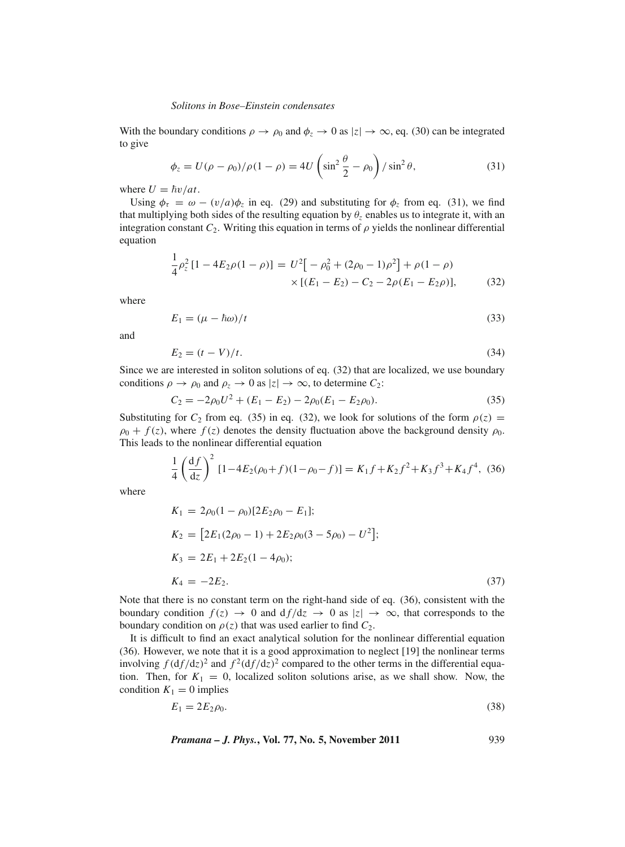With the boundary conditions  $\rho \to \rho_0$  and  $\phi_z \to 0$  as  $|z| \to \infty$ , eq. (30) can be integrated to give

$$
\phi_z = U(\rho - \rho_0)/\rho(1 - \rho) = 4U\left(\sin^2\frac{\theta}{2} - \rho_0\right)/\sin^2\theta,\tag{31}
$$

where  $U = \hbar v / at$ .

Using  $\phi_{\tau} = \omega - (v/a)\phi_{\tau}$  in eq. (29) and substituting for  $\phi_{\tau}$  from eq. (31), we find that multiplying both sides of the resulting equation by  $\theta_z$  enables us to integrate it, with an integration constant  $C_2$ . Writing this equation in terms of  $\rho$  yields the nonlinear differential equation

$$
\frac{1}{4}\rho_z^2\left[1 - 4E_2\rho(1-\rho)\right] = U^2\left[-\rho_0^2 + (2\rho_0 - 1)\rho^2\right] + \rho(1-\rho) \times \left[(E_1 - E_2) - C_2 - 2\rho(E_1 - E_2\rho)\right],
$$
\n(32)

where

$$
E_1 = (\mu - \hbar \omega)/t \tag{33}
$$

and

$$
E_2 = (t - V)/t. \tag{34}
$$

Since we are interested in soliton solutions of eq. (32) that are localized, we use boundary conditions  $\rho \to \rho_0$  and  $\rho_z \to 0$  as  $|z| \to \infty$ , to determine  $C_2$ :

$$
C_2 = -2\rho_0 U^2 + (E_1 - E_2) - 2\rho_0 (E_1 - E_2 \rho_0).
$$
\n(35)

Substituting for  $C_2$  from eq. (35) in eq. (32), we look for solutions of the form  $\rho(z)$  =  $\rho_0 + f(z)$ , where  $f(z)$  denotes the density fluctuation above the background density  $\rho_0$ . This leads to the nonlinear differential equation

$$
\frac{1}{4} \left( \frac{\mathrm{d}f}{\mathrm{d}z} \right)^2 \left[ 1 - 4E_2(\rho_0 + f)(1 - \rho_0 - f) \right] = K_1 f + K_2 f^2 + K_3 f^3 + K_4 f^4, \tag{36}
$$

where

$$
K_1 = 2\rho_0 (1 - \rho_0) [2E_2 \rho_0 - E_1];
$$
  
\n
$$
K_2 = [2E_1 (2\rho_0 - 1) + 2E_2 \rho_0 (3 - 5\rho_0) - U^2];
$$
  
\n
$$
K_3 = 2E_1 + 2E_2 (1 - 4\rho_0);
$$
  
\n
$$
K_4 = -2E_2.
$$
  
\n(37)

Note that there is no constant term on the right-hand side of eq. (36), consistent with the boundary condition  $f(z) \to 0$  and  $df/dz \to 0$  as  $|z| \to \infty$ , that corresponds to the boundary condition on  $\rho(z)$  that was used earlier to find  $C_2$ .

It is difficult to find an exact analytical solution for the nonlinear differential equation (36). However, we note that it is a good approximation to neglect [19] the nonlinear terms involving  $f(\frac{df}{dz})^2$  and  $f^2(\frac{df}{dz})^2$  compared to the other terms in the differential equation. Then, for  $K_1 = 0$ , localized soliton solutions arise, as we shall show. Now, the condition  $K_1 = 0$  implies

$$
E_1 = 2E_2 \rho_0. \tag{38}
$$

*Pramana – J. Phys.***, Vol. 77, No. 5, November 2011** 939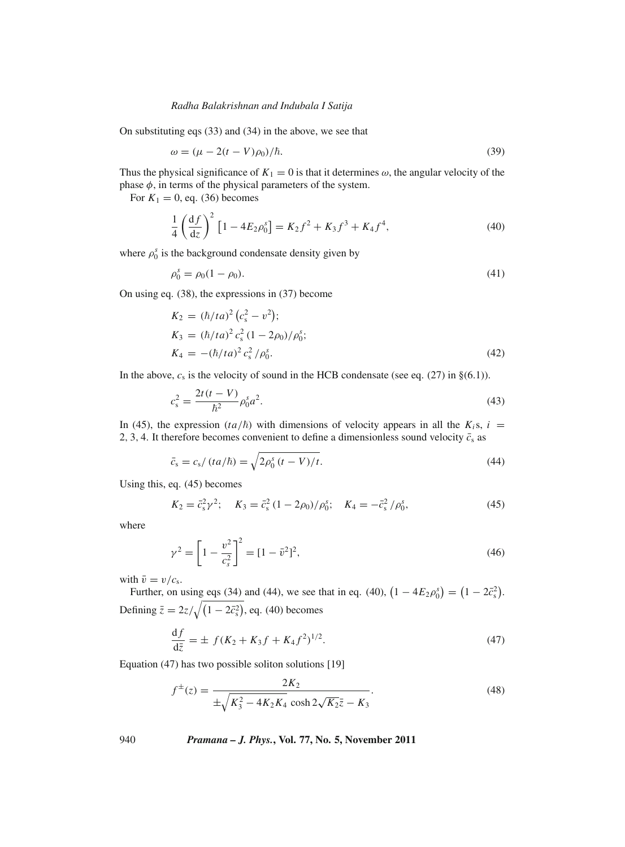On substituting eqs (33) and (34) in the above, we see that

$$
\omega = (\mu - 2(t - V)\rho_0)/\hbar.
$$
\n(39)

Thus the physical significance of  $K_1 = 0$  is that it determines  $\omega$ , the angular velocity of the phase  $\phi$ , in terms of the physical parameters of the system.

For  $K_1 = 0$ , eq. (36) becomes

$$
\frac{1}{4} \left( \frac{\mathrm{d}f}{\mathrm{d}z} \right)^2 \left[ 1 - 4E_2 \rho_0^s \right] = K_2 f^2 + K_3 f^3 + K_4 f^4,\tag{40}
$$

where  $\rho_0^s$  is the background condensate density given by

$$
\rho_0^s = \rho_0 (1 - \rho_0). \tag{41}
$$

On using eq. (38), the expressions in (37) become

$$
K_2 = (\hbar/ta)^2 (c_s^2 - v^2);
$$
  
\n
$$
K_3 = (\hbar/ta)^2 c_s^2 (1 - 2\rho_0) / \rho_0^s;
$$
  
\n
$$
K_4 = -(\hbar/ta)^2 c_s^2 / \rho_0^s.
$$
\n(42)

In the above,  $c_s$  is the velocity of sound in the HCB condensate (see eq. (27) in  $\S(6.1)$ ).

$$
c_s^2 = \frac{2t(t-V)}{\hbar^2} \rho_0^s a^2.
$$
\n(43)

In (45), the expression  $(ta/\hbar)$  with dimensions of velocity appears in all the  $K_i s$ ,  $i =$ 2, 3, 4. It therefore becomes convenient to define a dimensionless sound velocity  $\bar{c}_s$  as

$$
\bar{c}_s = c_s / (t a / \hbar) = \sqrt{2 \rho_0^s (t - V) / t}.
$$
\n(44)

Using this, eq. (45) becomes

$$
K_2 = \bar{c}_s^2 \gamma^2; \quad K_3 = \bar{c}_s^2 (1 - 2\rho_0) / \rho_0^s; \quad K_4 = -\bar{c}_s^2 / \rho_0^s,
$$
 (45)

where

$$
\gamma^2 = \left[1 - \frac{v^2}{c_s^2}\right]^2 = [1 - \bar{v}^2]^2,\tag{46}
$$

with  $\bar{v} = v/c_s$ .

Further, on using eqs (34) and (44), we see that in eq. (40),  $(1 - 4E_2 \rho_0^s) = (1 - 2\bar{c}_s^2)$ . Defining  $\bar{z} = 2z/\sqrt{(1 - 2\bar{c}_s^2)}$ , eq. (40) becomes

$$
\frac{\mathrm{d}f}{\mathrm{d}\bar{z}} = \pm \ f(K_2 + K_3 f + K_4 f^2)^{1/2}.\tag{47}
$$

Equation (47) has two possible soliton solutions [19]

$$
f^{\pm}(z) = \frac{2K_2}{\pm\sqrt{K_3^2 - 4K_2K_4} \cosh 2\sqrt{K_2}\bar{z} - K_3}.
$$
 (48)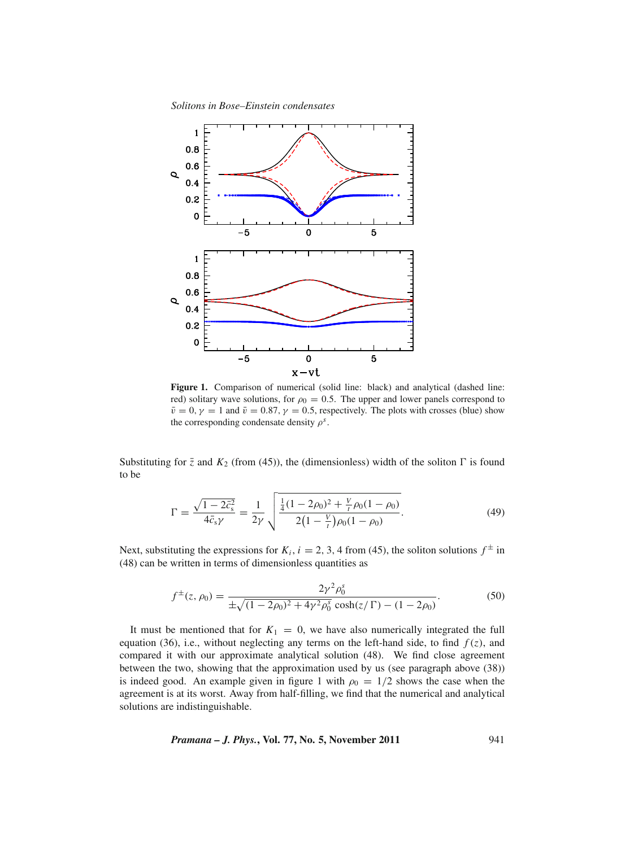



**Figure 1.** Comparison of numerical (solid line: black) and analytical (dashed line: red) solitary wave solutions, for  $\rho_0 = 0.5$ . The upper and lower panels correspond to  $\bar{v} = 0$ ,  $\gamma = 1$  and  $\bar{v} = 0.87$ ,  $\gamma = 0.5$ , respectively. The plots with crosses (blue) show the corresponding condensate density  $\rho^s$ .

Substituting for  $\bar{z}$  and  $K_2$  (from (45)), the (dimensionless) width of the soliton  $\Gamma$  is found to be

$$
\Gamma = \frac{\sqrt{1 - 2\bar{c}_s^2}}{4\bar{c}_s \gamma} = \frac{1}{2\gamma} \sqrt{\frac{\frac{1}{4}(1 - 2\rho_0)^2 + \frac{V}{t}\rho_0(1 - \rho_0)}{2\left(1 - \frac{V}{t}\right)\rho_0(1 - \rho_0)}}.
$$
(49)

Next, substituting the expressions for  $K_i$ ,  $i = 2, 3, 4$  from (45), the soliton solutions  $f^{\pm}$  in (48) can be written in terms of dimensionless quantities as

$$
f^{\pm}(z,\rho_0) = \frac{2\gamma^2 \rho_0^s}{\pm \sqrt{(1 - 2\rho_0)^2 + 4\gamma^2 \rho_0^s} \cosh(z/\Gamma) - (1 - 2\rho_0)}.
$$
(50)

It must be mentioned that for  $K_1 = 0$ , we have also numerically integrated the full equation (36), i.e., without neglecting any terms on the left-hand side, to find  $f(z)$ , and compared it with our approximate analytical solution (48). We find close agreement between the two, showing that the approximation used by us (see paragraph above (38)) is indeed good. An example given in figure 1 with  $\rho_0 = 1/2$  shows the case when the agreement is at its worst. Away from half-filling, we find that the numerical and analytical solutions are indistinguishable.

*Pramana – J. Phys.***, Vol. 77, No. 5, November 2011** 941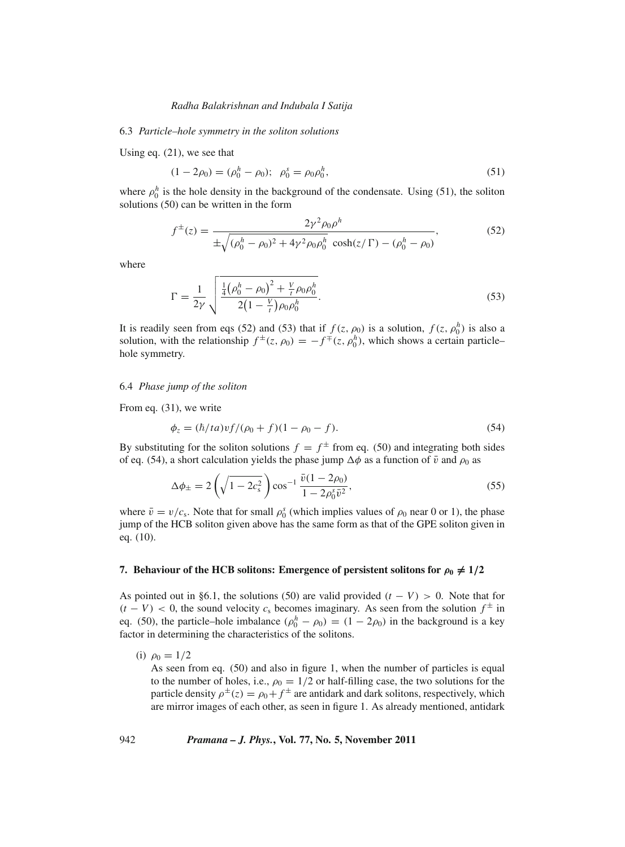### 6.3 *Particle–hole symmetry in the soliton solutions*

Using eq. (21), we see that

$$
(1 - 2\rho_0) = (\rho_0^h - \rho_0); \ \rho_0^s = \rho_0 \rho_0^h,
$$
\n(51)

where  $\rho_0^h$  is the hole density in the background of the condensate. Using (51), the soliton solutions (50) can be written in the form

$$
f^{\pm}(z) = \frac{2\gamma^2 \rho_0 \rho^h}{\pm \sqrt{(\rho_0^h - \rho_0)^2 + 4\gamma^2 \rho_0 \rho_0^h} \cosh(z/\Gamma) - (\rho_0^h - \rho_0)},
$$
(52)

where

$$
\Gamma = \frac{1}{2\gamma} \sqrt{\frac{\frac{1}{4}(\rho_0^h - \rho_0)^2 + \frac{V}{t}\rho_0\rho_0^h}{2(1 - \frac{V}{t})\rho_0\rho_0^h}}.
$$
\n(53)

It is readily seen from eqs (52) and (53) that if  $f(z, \rho_0)$  is a solution,  $f(z, \rho_0^h)$  is also a solution, with the relationship  $f^{\pm}(z, \rho_0) = -f^{\mp}(z, \rho_0^h)$ , which shows a certain particle– hole symmetry.

# 6.4 *Phase jump of the soliton*

From eq. (31), we write

$$
\phi_z = (\hbar/ta)v f/(\rho_0 + f)(1 - \rho_0 - f). \tag{54}
$$

By substituting for the soliton solutions  $f = f^{\pm}$  from eq. (50) and integrating both sides of eq. (54), a short calculation yields the phase jump  $\Delta\phi$  as a function of  $\bar{v}$  and  $\rho_0$  as

$$
\Delta \phi_{\pm} = 2 \left( \sqrt{1 - 2c_s^2} \right) \cos^{-1} \frac{\bar{v}(1 - 2\rho_0)}{1 - 2\rho_0^s \bar{v}^2},\tag{55}
$$

where  $\bar{v} = v/c_s$ . Note that for small  $\rho_0^s$  (which implies values of  $\rho_0$  near 0 or 1), the phase jump of the HCB soliton given above has the same form as that of the GPE soliton given in eq. (10).

# **7.** Behaviour of the HCB solitons: Emergence of persistent solitons for  $\rho_0 \neq 1/2$

As pointed out in §6.1, the solutions (50) are valid provided  $(t - V) > 0$ . Note that for  $(t - V)$  < 0, the sound velocity  $c_s$  becomes imaginary. As seen from the solution  $f^{\pm}$  in eq. (50), the particle–hole imbalance  $(\rho_0^h - \rho_0) = (1 - 2\rho_0)$  in the background is a key factor in determining the characteristics of the solitons.

(i)  $\rho_0 = 1/2$ 

As seen from eq. (50) and also in figure 1, when the number of particles is equal to the number of holes, i.e.,  $\rho_0 = 1/2$  or half-filling case, the two solutions for the particle density  $\rho^{\pm}(z) = \rho_0 + f^{\pm}$  are antidark and dark solitons, respectively, which are mirror images of each other, as seen in figure 1. As already mentioned, antidark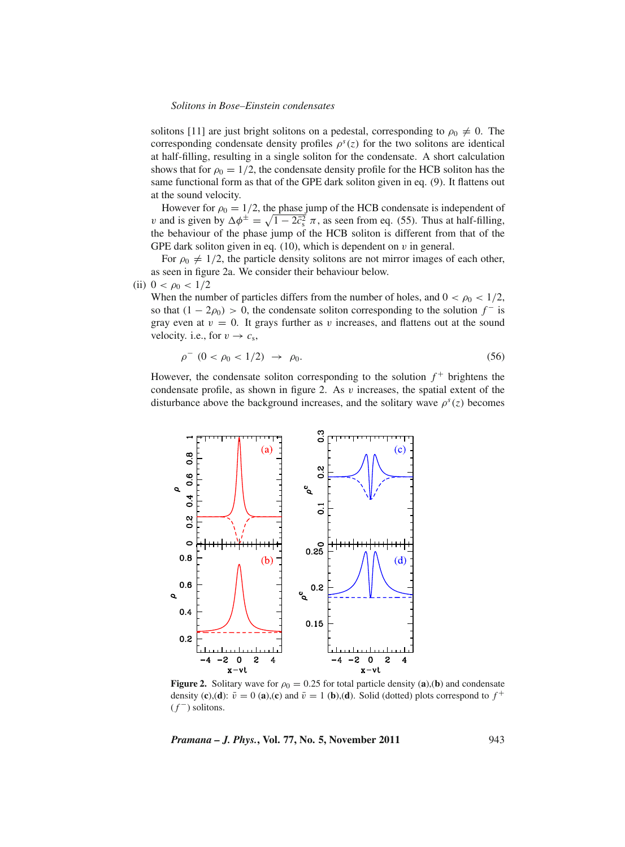solitons [11] are just bright solitons on a pedestal, corresponding to  $\rho_0 \neq 0$ . The corresponding condensate density profiles  $\rho^{s}(z)$  for the two solitons are identical at half-filling, resulting in a single soliton for the condensate. A short calculation shows that for  $\rho_0 = 1/2$ , the condensate density profile for the HCB soliton has the same functional form as that of the GPE dark soliton given in eq. (9). It flattens out at the sound velocity.

However for  $\rho_0 = 1/2$ , the phase jump of the HCB condensate is independent of v and is given by  $\Delta \phi^{\pm} = \sqrt{1 - 2\bar{c}_s^2} \pi$ , as seen from eq. (55). Thus at half-filling, the behaviour of the phase jump of the HCB soliton is different from that of the GPE dark soliton given in eq.  $(10)$ , which is dependent on  $v$  in general.

For  $\rho_0 \neq 1/2$ , the particle density solitons are not mirror images of each other, as seen in figure 2a. We consider their behaviour below.

#### (ii)  $0 < \rho_0 < 1/2$

When the number of particles differs from the number of holes, and  $0 < \rho_0 < 1/2$ , so that  $(1 - 2\rho_0) > 0$ , the condensate soliton corresponding to the solution  $f^-$  is gray even at  $v = 0$ . It grays further as v increases, and flattens out at the sound velocity. i.e., for  $v \rightarrow c_s$ ,

$$
\rho^{-} (0 < \rho_0 < 1/2) \rightarrow \rho_0. \tag{56}
$$

However, the condensate soliton corresponding to the solution  $f^+$  brightens the condensate profile, as shown in figure 2. As  $v$  increases, the spatial extent of the disturbance above the background increases, and the solitary wave  $\rho^{s}(z)$  becomes



**Figure 2.** Solitary wave for  $\rho_0 = 0.25$  for total particle density (a),(b) and condensate density (**c**),(**d**):  $\bar{v} = 0$  (**a**),(**c**) and  $\bar{v} = 1$  (**b**),(**d**). Solid (dotted) plots correspond to  $f^+$  $(f^-)$  solitons.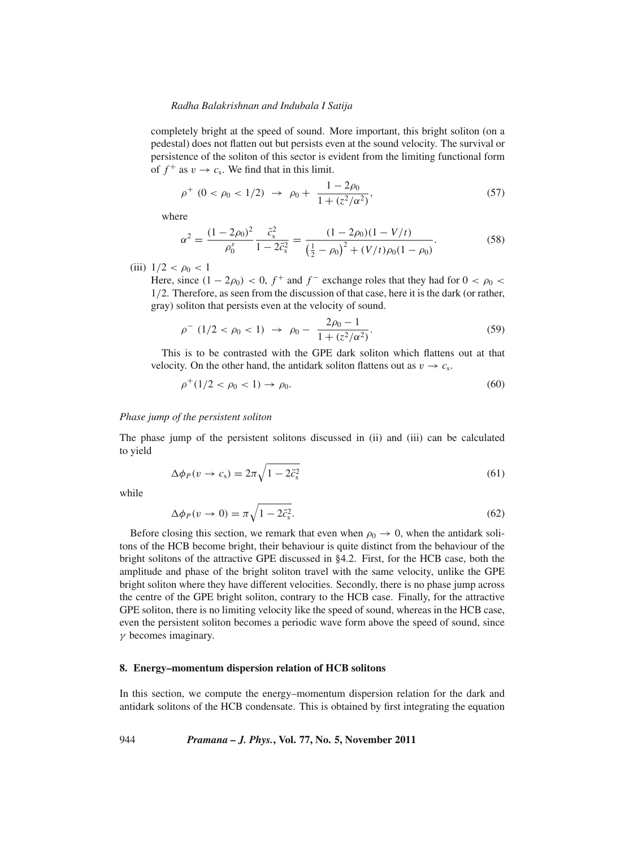completely bright at the speed of sound. More important, this bright soliton (on a pedestal) does not flatten out but persists even at the sound velocity. The survival or persistence of the soliton of this sector is evident from the limiting functional form of  $f^+$  as  $v \to c_s$ . We find that in this limit.

$$
\rho^+ (0 < \rho_0 < 1/2) \rightarrow \rho_0 + \frac{1 - 2\rho_0}{1 + (z^2/\alpha^2)},
$$
\n(57)

where

$$
\alpha^2 = \frac{(1 - 2\rho_0)^2}{\rho_0^s} \frac{\bar{c}_s^2}{1 - 2\bar{c}_s^2} = \frac{(1 - 2\rho_0)(1 - V/t)}{\left(\frac{1}{2} - \rho_0\right)^2 + (V/t)\rho_0(1 - \rho_0)}.
$$
(58)

(iii)  $1/2 < \rho_0 < 1$ 

Here, since  $(1 - 2\rho_0) < 0$ ,  $f^+$  and  $f^-$  exchange roles that they had for  $0 < \rho_0 <$ 1/2. Therefore, as seen from the discussion of that case, here it is the dark (or rather, gray) soliton that persists even at the velocity of sound.

$$
\rho^{-} (1/2 < \rho_0 < 1) \rightarrow \rho_0 - \frac{2\rho_0 - 1}{1 + (z^2/\alpha^2)}.
$$
\n(59)

This is to be contrasted with the GPE dark soliton which flattens out at that velocity. On the other hand, the antidark soliton flattens out as  $v \to c_s$ .

$$
\rho^+(1/2 < \rho_0 < 1) \to \rho_0. \tag{60}
$$

### *Phase jump of the persistent soliton*

The phase jump of the persistent solitons discussed in (ii) and (iii) can be calculated to yield

$$
\Delta \phi_P(v \to c_s) = 2\pi \sqrt{1 - 2\bar{c}_s^2} \tag{61}
$$

while

$$
\Delta \phi_P(v \to 0) = \pi \sqrt{1 - 2\bar{c}_s^2}.\tag{62}
$$

Before closing this section, we remark that even when  $\rho_0 \rightarrow 0$ , when the antidark solitons of the HCB become bright, their behaviour is quite distinct from the behaviour of the bright solitons of the attractive GPE discussed in §4.2. First, for the HCB case, both the amplitude and phase of the bright soliton travel with the same velocity, unlike the GPE bright soliton where they have different velocities. Secondly, there is no phase jump across the centre of the GPE bright soliton, contrary to the HCB case. Finally, for the attractive GPE soliton, there is no limiting velocity like the speed of sound, whereas in the HCB case, even the persistent soliton becomes a periodic wave form above the speed of sound, since  $\gamma$  becomes imaginary.

### **8. Energy–momentum dispersion relation of HCB solitons**

In this section, we compute the energy–momentum dispersion relation for the dark and antidark solitons of the HCB condensate. This is obtained by first integrating the equation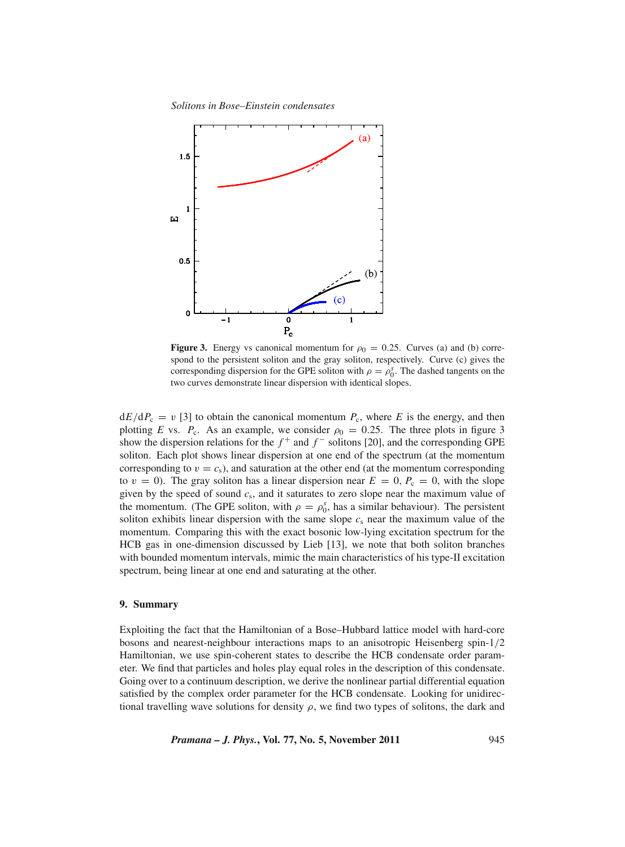*Solitons in Bose–Einstein condensates*



**Figure 3.** Energy vs canonical momentum for  $\rho_0 = 0.25$ . Curves (a) and (b) correspond to the persistent soliton and the gray soliton, respectively. Curve (c) gives the corresponding dispersion for the GPE soliton with  $\rho = \rho_0^s$ . The dashed tangents on the two curves demonstrate linear dispersion with identical slopes.

 $dE/dP_c = v$  [3] to obtain the canonical momentum  $P_c$ , where *E* is the energy, and then plotting *E* vs.  $P_c$ . As an example, we consider  $\rho_0 = 0.25$ . The three plots in figure 3 show the dispersion relations for the  $f^+$  and  $f^-$  solitons [20], and the corresponding GPE soliton. Each plot shows linear dispersion at one end of the spectrum (at the momentum corresponding to  $v = c_s$ ), and saturation at the other end (at the momentum corresponding to  $v = 0$ ). The gray soliton has a linear dispersion near  $E = 0$ ,  $P_c = 0$ , with the slope given by the speed of sound *c*s, and it saturates to zero slope near the maximum value of the momentum. (The GPE soliton, with  $\rho = \rho_0^s$ , has a similar behaviour). The persistent soliton exhibits linear dispersion with the same slope  $c_s$  near the maximum value of the momentum. Comparing this with the exact bosonic low-lying excitation spectrum for the HCB gas in one-dimension discussed by Lieb [13], we note that both soliton branches with bounded momentum intervals, mimic the main characteristics of his type-II excitation spectrum, being linear at one end and saturating at the other.

# **9. Summary**

Exploiting the fact that the Hamiltonian of a Bose–Hubbard lattice model with hard-core bosons and nearest-neighbour interactions maps to an anisotropic Heisenberg spin-1/2 Hamiltonian, we use spin-coherent states to describe the HCB condensate order parameter. We find that particles and holes play equal roles in the description of this condensate. Going over to a continuum description, we derive the nonlinear partial differential equation satisfied by the complex order parameter for the HCB condensate. Looking for unidirectional travelling wave solutions for density  $\rho$ , we find two types of solitons, the dark and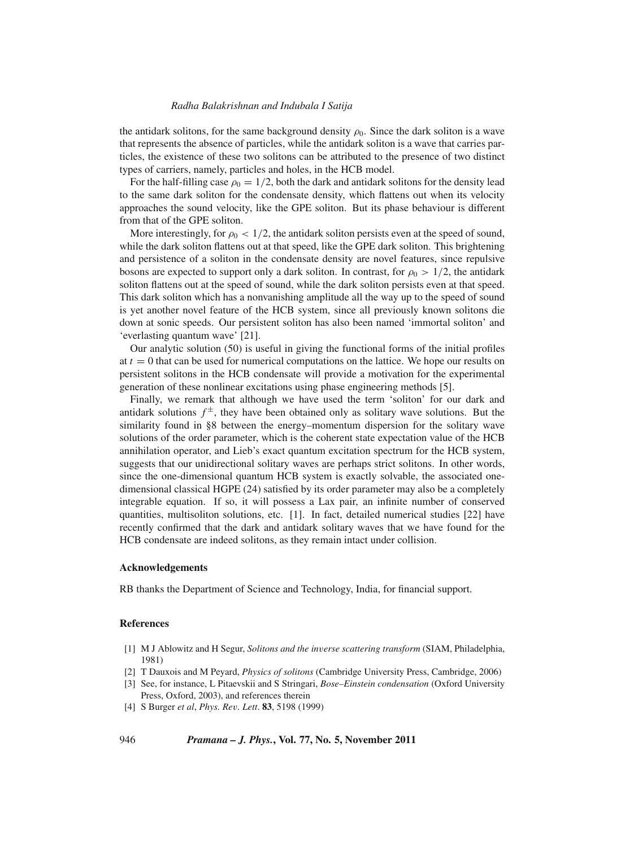the antidark solitons, for the same background density  $\rho_0$ . Since the dark soliton is a wave that represents the absence of particles, while the antidark soliton is a wave that carries particles, the existence of these two solitons can be attributed to the presence of two distinct types of carriers, namely, particles and holes, in the HCB model.

For the half-filling case  $\rho_0 = 1/2$ , both the dark and antidark solitons for the density lead to the same dark soliton for the condensate density, which flattens out when its velocity approaches the sound velocity, like the GPE soliton. But its phase behaviour is different from that of the GPE soliton.

More interestingly, for  $\rho_0 < 1/2$ , the antidark soliton persists even at the speed of sound, while the dark soliton flattens out at that speed, like the GPE dark soliton. This brightening and persistence of a soliton in the condensate density are novel features, since repulsive bosons are expected to support only a dark soliton. In contrast, for  $\rho_0 > 1/2$ , the antidark soliton flattens out at the speed of sound, while the dark soliton persists even at that speed. This dark soliton which has a nonvanishing amplitude all the way up to the speed of sound is yet another novel feature of the HCB system, since all previously known solitons die down at sonic speeds. Our persistent soliton has also been named 'immortal soliton' and 'everlasting quantum wave' [21].

Our analytic solution (50) is useful in giving the functional forms of the initial profiles at  $t = 0$  that can be used for numerical computations on the lattice. We hope our results on persistent solitons in the HCB condensate will provide a motivation for the experimental generation of these nonlinear excitations using phase engineering methods [5].

Finally, we remark that although we have used the term 'soliton' for our dark and antidark solutions  $f^{\pm}$ , they have been obtained only as solitary wave solutions. But the similarity found in §8 between the energy–momentum dispersion for the solitary wave solutions of the order parameter, which is the coherent state expectation value of the HCB annihilation operator, and Lieb's exact quantum excitation spectrum for the HCB system, suggests that our unidirectional solitary waves are perhaps strict solitons. In other words, since the one-dimensional quantum HCB system is exactly solvable, the associated onedimensional classical HGPE (24) satisfied by its order parameter may also be a completely integrable equation. If so, it will possess a Lax pair, an infinite number of conserved quantities, multisoliton solutions, etc. [1]. In fact, detailed numerical studies [22] have recently confirmed that the dark and antidark solitary waves that we have found for the HCB condensate are indeed solitons, as they remain intact under collision.

#### **Acknowledgements**

RB thanks the Department of Science and Technology, India, for financial support.

# **References**

- [1] M J Ablowitz and H Segur, *Solitons and the in*v*erse scattering transform* (SIAM, Philadelphia, 1981)
- [2] T Dauxois and M Peyard, *Physics of solitons* (Cambridge University Press, Cambridge, 2006)
- [3] See, for instance, L Pitaevskii and S Stringari, *Bose–Einstein condensation* (Oxford University Press, Oxford, 2003), and references therein
- [4] S Burger *et al*, *Phys. Re*v*. Lett*. **83**, 5198 (1999)